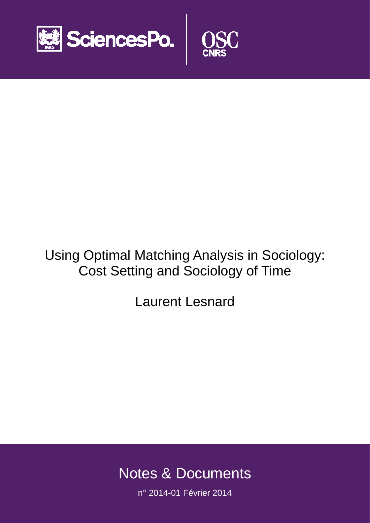



# Using Optimal Matching Analysis in Sociology: Cost Setting and Sociology of Time

Laurent Lesnard

Notes & Documents

n° 2014-01 Février 2014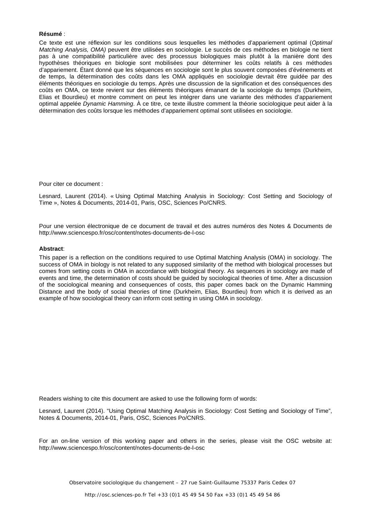## **Résumé** :

Ce texte est une réflexion sur les conditions sous lesquelles les méthodes d'appariement optimal (*Optimal Matching Analysis, OMA)* peuvent être utilisées en sociologie. Le succès de ces méthodes en biologie ne tient pas à une compatibilité particulière avec des processus biologiques mais plutôt à la manière dont des hypothèses théoriques en biologie sont mobilisées pour déterminer les coûts relatifs à ces méthodes d'appariement. Étant donné que les séquences en sociologie sont le plus souvent composées d'événements et de temps, la détermination des coûts dans les OMA appliqués en sociologie devrait être guidée par des éléments théoriques en sociologie du temps. Après une discussion de la signification et des conséquences des coûts en OMA, ce texte revient sur des éléments théoriques émanant de la sociologie du temps (Durkheim, Elias et Bourdieu) et montre comment on peut les intégrer dans une variante des méthodes d'appariement optimal appelée *Dynamic Hamming*. À ce titre, ce texte illustre comment la théorie sociologique peut aider à la détermination des coûts lorsque les méthodes d'appariement optimal sont utilisées en sociologie.

Pour citer ce document :

Lesnard, Laurent (2014). « Using Optimal Matching Analysis in Sociology: Cost Setting and Sociology of Time », Notes & Documents, 2014-01, Paris, OSC, Sciences Po/CNRS.

Pour une version électronique de ce document de travail et des autres numéros des Notes & Documents de http://www.sciencespo.fr/osc/content/notes-documents-de-l-osc

#### **Abstract**:

This paper is a reflection on the conditions required to use Optimal Matching Analysis (OMA) in sociology. The success of OMA in biology is not related to any supposed similarity of the method with biological processes but comes from setting costs in OMA in accordance with biological theory. As sequences in sociology are made of events and time, the determination of costs should be guided by sociological theories of time. After a discussion of the sociological meaning and consequences of costs, this paper comes back on the Dynamic Hamming Distance and the body of social theories of time (Durkheim, Elias, Bourdieu) from which it is derived as an example of how sociological theory can inform cost setting in using OMA in sociology.

Readers wishing to cite this document are asked to use the following form of words:

Lesnard, Laurent (2014). "Using Optimal Matching Analysis in Sociology: Cost Setting and Sociology of Time", Notes & Documents, 2014-01, Paris, OSC, Sciences Po/CNRS.

For an on-line version of this working paper and others in the series, please visit the OSC website at: http://www.sciencespo.fr/osc/content/notes-documents-de-l-osc

Observatoire sociologique du changement – 27 rue Saint-Guillaume 75337 Paris Cedex 07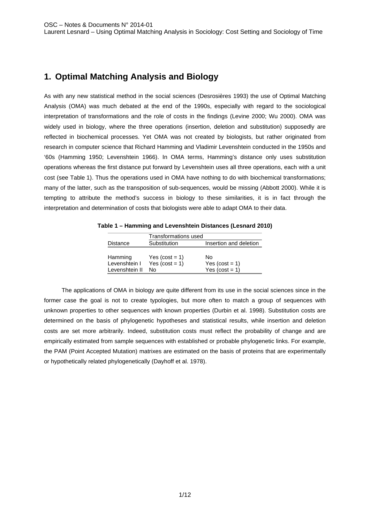# **1. Optimal Matching Analysis and Biology**

As with any new statistical method in the social sciences (Desrosières 1993) the use of Optimal Matching Analysis (OMA) was much debated at the end of the 1990s, especially with regard to the sociological interpretation of transformations and the role of costs in the findings (Levine 2000; Wu 2000). OMA was widely used in biology, where the three operations (insertion, deletion and substitution) supposedly are reflected in biochemical processes. Yet OMA was not created by biologists, but rather originated from research in computer science that Richard Hamming and Vladimir Levenshtein conducted in the 1950s and '60s (Hamming 1950; Levenshtein 1966). In OMA terms, Hamming's distance only uses substitution operations whereas the first distance put forward by Levenshtein uses all three operations, each with a unit cost (see Table 1). Thus the operations used in OMA have nothing to do with biochemical transformations; many of the latter, such as the transposition of sub-sequences, would be missing (Abbott 2000). While it is tempting to attribute the method's success in biology to these similarities, it is in fact through the interpretation and determination of costs that biologists were able to adapt OMA to their data.

| Table 1 – Hamming and Levenshtein Distances (Lesnard 2010) |  |
|------------------------------------------------------------|--|
|------------------------------------------------------------|--|

|                 | Transformations used |                        |  |
|-----------------|----------------------|------------------------|--|
| <b>Distance</b> | Substitution         | Insertion and deletion |  |
|                 |                      |                        |  |
| Hamming         | Yes $(cost = 1)$     | N٥                     |  |
| Levenshtein I   | Yes $(cost = 1)$     | Yes $(cost = 1)$       |  |
| Levenshtein II  | N٥                   | Yes $(cost = 1)$       |  |

The applications of OMA in biology are quite different from its use in the social sciences since in the former case the goal is not to create typologies, but more often to match a group of sequences with unknown properties to other sequences with known properties (Durbin et al. 1998). Substitution costs are determined on the basis of phylogenetic hypotheses and statistical results, while insertion and deletion costs are set more arbitrarily. Indeed, substitution costs must reflect the probability of change and are empirically estimated from sample sequences with established or probable phylogenetic links. For example, the PAM (Point Accepted Mutation) matrixes are estimated on the basis of proteins that are experimentally or hypothetically related phylogenetically (Dayhoff et al. 1978).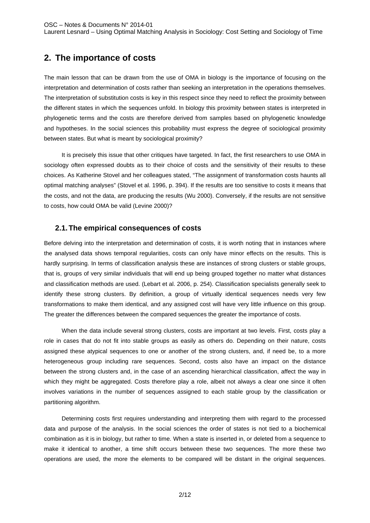Laurent Lesnard – Using Optimal Matching Analysis in Sociology: Cost Setting and Sociology of Time

# **2. The importance of costs**

The main lesson that can be drawn from the use of OMA in biology is the importance of focusing on the interpretation and determination of costs rather than seeking an interpretation in the operations themselves. The interpretation of substitution costs is key in this respect since they need to reflect the proximity between the different states in which the sequences unfold. In biology this proximity between states is interpreted in phylogenetic terms and the costs are therefore derived from samples based on phylogenetic knowledge and hypotheses. In the social sciences this probability must express the degree of sociological proximity between states. But what is meant by sociological proximity?

It is precisely this issue that other critiques have targeted. In fact, the first researchers to use OMA in sociology often expressed doubts as to their choice of costs and the sensitivity of their results to these choices. As Katherine Stovel and her colleagues stated, "The assignment of transformation costs haunts all optimal matching analyses" (Stovel et al. 1996, p. 394). If the results are too sensitive to costs it means that the costs, and not the data, are producing the results (Wu 2000). Conversely, if the results are not sensitive to costs, how could OMA be valid (Levine 2000)?

# **2.1. The empirical consequences of costs**

Before delving into the interpretation and determination of costs, it is worth noting that in instances where the analysed data shows temporal regularities, costs can only have minor effects on the results. This is hardly surprising. In terms of classification analysis these are instances of strong clusters or stable groups, that is, groups of very similar individuals that will end up being grouped together no matter what distances and classification methods are used. (Lebart et al. 2006, p. 254). Classification specialists generally seek to identify these strong clusters. By definition, a group of virtually identical sequences needs very few transformations to make them identical, and any assigned cost will have very little influence on this group. The greater the differences between the compared sequences the greater the importance of costs.

When the data include several strong clusters, costs are important at two levels. First, costs play a role in cases that do not fit into stable groups as easily as others do. Depending on their nature, costs assigned these atypical sequences to one or another of the strong clusters, and, if need be, to a more heterogeneous group including rare sequences. Second, costs also have an impact on the distance between the strong clusters and, in the case of an ascending hierarchical classification, affect the way in which they might be aggregated. Costs therefore play a role, albeit not always a clear one since it often involves variations in the number of sequences assigned to each stable group by the classification or partitioning algorithm.

Determining costs first requires understanding and interpreting them with regard to the processed data and purpose of the analysis. In the social sciences the order of states is not tied to a biochemical combination as it is in biology, but rather to time. When a state is inserted in, or deleted from a sequence to make it identical to another, a time shift occurs between these two sequences. The more these two operations are used, the more the elements to be compared will be distant in the original sequences.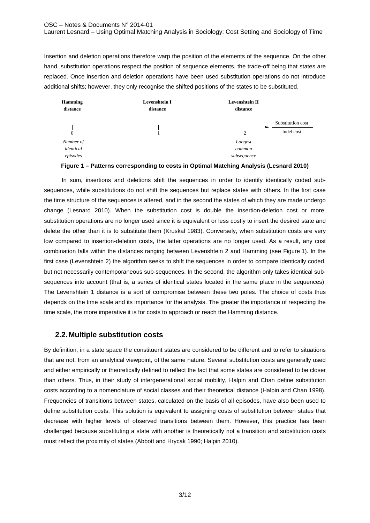## OSC – Notes & Documents N° 2014-01 Laurent Lesnard – Using Optimal Matching Analysis in Sociology: Cost Setting and Sociology of Time

Insertion and deletion operations therefore warp the position of the elements of the sequence. On the other hand, substitution operations respect the position of sequence elements, the trade-off being that states are replaced. Once insertion and deletion operations have been used substitution operations do not introduce additional shifts; however, they only recognise the shifted positions of the states to be substituted.





In sum, insertions and deletions shift the sequences in order to identify identically coded subsequences, while substitutions do not shift the sequences but replace states with others. In the first case the time structure of the sequences is altered, and in the second the states of which they are made undergo change (Lesnard 2010). When the substitution cost is double the insertion-deletion cost or more, substitution operations are no longer used since it is equivalent or less costly to insert the desired state and delete the other than it is to substitute them (Kruskal 1983). Conversely, when substitution costs are very low compared to insertion-deletion costs, the latter operations are no longer used. As a result, any cost combination falls within the distances ranging between Levenshtein 2 and Hamming (see Figure 1). In the first case (Levenshtein 2) the algorithm seeks to shift the sequences in order to compare identically coded, but not necessarily contemporaneous sub-sequences. In the second, the algorithm only takes identical subsequences into account (that is, a series of identical states located in the same place in the sequences). The Levenshtein 1 distance is a sort of compromise between these two poles. The choice of costs thus depends on the time scale and its importance for the analysis. The greater the importance of respecting the time scale, the more imperative it is for costs to approach or reach the Hamming distance.

# **2.2. Multiple substitution costs**

By definition, in a state space the constituent states are considered to be different and to refer to situations that are not, from an analytical viewpoint, of the same nature. Several substitution costs are generally used and either empirically or theoretically defined to reflect the fact that some states are considered to be closer than others. Thus, in their study of intergenerational social mobility, Halpin and Chan define substitution costs according to a nomenclature of social classes and their theoretical distance (Halpin and Chan 1998). Frequencies of transitions between states, calculated on the basis of all episodes, have also been used to define substitution costs. This solution is equivalent to assigning costs of substitution between states that decrease with higher levels of observed transitions between them. However, this practice has been challenged because substituting a state with another is theoretically not a transition and substitution costs must reflect the proximity of states (Abbott and Hrycak 1990; Halpin 2010).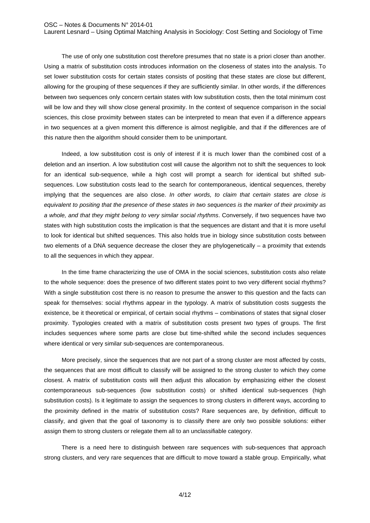Laurent Lesnard – Using Optimal Matching Analysis in Sociology: Cost Setting and Sociology of Time

The use of only one substitution cost therefore presumes that no state is a priori closer than another. Using a matrix of substitution costs introduces information on the closeness of states into the analysis. To set lower substitution costs for certain states consists of positing that these states are close but different, allowing for the grouping of these sequences if they are sufficiently similar. In other words, if the differences between two sequences only concern certain states with low substitution costs, then the total minimum cost will be low and they will show close general proximity. In the context of sequence comparison in the social sciences, this close proximity between states can be interpreted to mean that even if a difference appears in two sequences at a given moment this difference is almost negligible, and that if the differences are of this nature then the algorithm should consider them to be unimportant.

Indeed, a low substitution cost is only of interest if it is much lower than the combined cost of a deletion and an insertion. A low substitution cost will cause the algorithm not to shift the sequences to look for an identical sub-sequence, while a high cost will prompt a search for identical but shifted subsequences. Low substitution costs lead to the search for contemporaneous, identical sequences, thereby implying that the sequences are also close. *In other words, to claim that certain states are close is equivalent to positing that the presence of these states in two sequences is the marker of their proximity as a whole, and that they might belong to very similar social rhythms*. Conversely, if two sequences have two states with high substitution costs the implication is that the sequences are distant and that it is more useful to look for identical but shifted sequences. This also holds true in biology since substitution costs between two elements of a DNA sequence decrease the closer they are phylogenetically – a proximity that extends to all the sequences in which they appear.

In the time frame characterizing the use of OMA in the social sciences, substitution costs also relate to the whole sequence: does the presence of two different states point to two very different social rhythms? With a single substitution cost there is no reason to presume the answer to this question and the facts can speak for themselves: social rhythms appear in the typology. A matrix of substitution costs suggests the existence, be it theoretical or empirical, of certain social rhythms – combinations of states that signal closer proximity. Typologies created with a matrix of substitution costs present two types of groups. The first includes sequences where some parts are close but time-shifted while the second includes sequences where identical or very similar sub-sequences are contemporaneous.

More precisely, since the sequences that are not part of a strong cluster are most affected by costs, the sequences that are most difficult to classify will be assigned to the strong cluster to which they come closest. A matrix of substitution costs will then adjust this allocation by emphasizing either the closest contemporaneous sub-sequences (low substitution costs) or shifted identical sub-sequences (high substitution costs). Is it legitimate to assign the sequences to strong clusters in different ways, according to the proximity defined in the matrix of substitution costs? Rare sequences are, by definition, difficult to classify, and given that the goal of taxonomy is to classify there are only two possible solutions: either assign them to strong clusters or relegate them all to an unclassifiable category.

There is a need here to distinguish between rare sequences with sub-sequences that approach strong clusters, and very rare sequences that are difficult to move toward a stable group. Empirically, what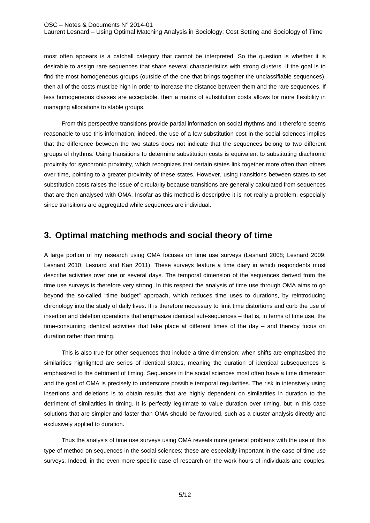## OSC – Notes & Documents N° 2014-01 Laurent Lesnard – Using Optimal Matching Analysis in Sociology: Cost Setting and Sociology of Time

most often appears is a catchall category that cannot be interpreted. So the question is whether it is desirable to assign rare sequences that share several characteristics with strong clusters. If the goal is to find the most homogeneous groups (outside of the one that brings together the unclassifiable sequences), then all of the costs must be high in order to increase the distance between them and the rare sequences. If less homogeneous classes are acceptable, then a matrix of substitution costs allows for more flexibility in managing allocations to stable groups.

From this perspective transitions provide partial information on social rhythms and it therefore seems reasonable to use this information; indeed, the use of a low substitution cost in the social sciences implies that the difference between the two states does not indicate that the sequences belong to two different groups of rhythms. Using transitions to determine substitution costs is equivalent to substituting diachronic proximity for synchronic proximity, which recognizes that certain states link together more often than others over time, pointing to a greater proximity of these states. However, using transitions between states to set substitution costs raises the issue of circularity because transitions are generally calculated from sequences that are then analysed with OMA. Insofar as this method is descriptive it is not really a problem, especially since transitions are aggregated while sequences are individual.

# **3. Optimal matching methods and social theory of time**

A large portion of my research using OMA focuses on time use surveys (Lesnard 2008; Lesnard 2009; Lesnard 2010; Lesnard and Kan 2011). These surveys feature a time diary in which respondents must describe activities over one or several days. The temporal dimension of the sequences derived from the time use surveys is therefore very strong. In this respect the analysis of time use through OMA aims to go beyond the so-called "time budget" approach, which reduces time uses to durations, by reintroducing chronology into the study of daily lives. It is therefore necessary to limit time distortions and curb the use of insertion and deletion operations that emphasize identical sub-sequences – that is, in terms of time use, the time-consuming identical activities that take place at different times of the day – and thereby focus on duration rather than timing.

This is also true for other sequences that include a time dimension: when shifts are emphasized the similarities highlighted are series of identical states, meaning the duration of identical subsequences is emphasized to the detriment of timing. Sequences in the social sciences most often have a time dimension and the goal of OMA is precisely to underscore possible temporal regularities. The risk in intensively using insertions and deletions is to obtain results that are highly dependent on similarities in duration to the detriment of similarities in timing. It is perfectly legitimate to value duration over timing, but in this case solutions that are simpler and faster than OMA should be favoured, such as a cluster analysis directly and exclusively applied to duration.

Thus the analysis of time use surveys using OMA reveals more general problems with the use of this type of method on sequences in the social sciences; these are especially important in the case of time use surveys. Indeed, in the even more specific case of research on the work hours of individuals and couples,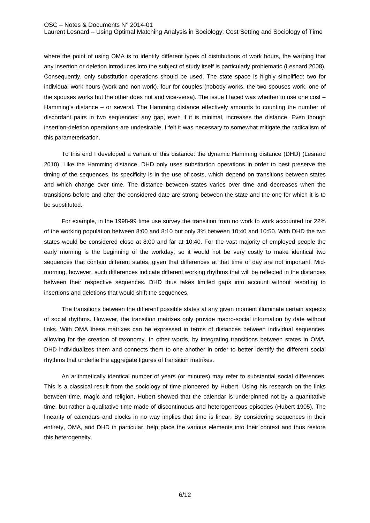Laurent Lesnard – Using Optimal Matching Analysis in Sociology: Cost Setting and Sociology of Time

where the point of using OMA is to identify different types of distributions of work hours, the warping that any insertion or deletion introduces into the subject of study itself is particularly problematic (Lesnard 2008). Consequently, only substitution operations should be used. The state space is highly simplified: two for individual work hours (work and non-work), four for couples (nobody works, the two spouses work, one of the spouses works but the other does not and vice-versa). The issue I faced was whether to use one cost – Hamming's distance – or several. The Hamming distance effectively amounts to counting the number of discordant pairs in two sequences: any gap, even if it is minimal, increases the distance. Even though insertion-deletion operations are undesirable, I felt it was necessary to somewhat mitigate the radicalism of this parameterisation.

To this end I developed a variant of this distance: the dynamic Hamming distance (DHD) (Lesnard 2010). Like the Hamming distance, DHD only uses substitution operations in order to best preserve the timing of the sequences. Its specificity is in the use of costs, which depend on transitions between states and which change over time. The distance between states varies over time and decreases when the transitions before and after the considered date are strong between the state and the one for which it is to be substituted.

For example, in the 1998-99 time use survey the transition from no work to work accounted for 22% of the working population between 8:00 and 8:10 but only 3% between 10:40 and 10:50. With DHD the two states would be considered close at 8:00 and far at 10:40. For the vast majority of employed people the early morning is the beginning of the workday, so it would not be very costly to make identical two sequences that contain different states, given that differences at that time of day are not important. Midmorning, however, such differences indicate different working rhythms that will be reflected in the distances between their respective sequences. DHD thus takes limited gaps into account without resorting to insertions and deletions that would shift the sequences.

The transitions between the different possible states at any given moment illuminate certain aspects of social rhythms. However, the transition matrixes only provide macro-social information by date without links. With OMA these matrixes can be expressed in terms of distances between individual sequences, allowing for the creation of taxonomy. In other words, by integrating transitions between states in OMA, DHD individualizes them and connects them to one another in order to better identify the different social rhythms that underlie the aggregate figures of transition matrixes.

An arithmetically identical number of years (or minutes) may refer to substantial social differences. This is a classical result from the sociology of time pioneered by Hubert. Using his research on the links between time, magic and religion, Hubert showed that the calendar is underpinned not by a quantitative time, but rather a qualitative time made of discontinuous and heterogeneous episodes (Hubert 1905). The linearity of calendars and clocks in no way implies that time is linear. By considering sequences in their entirety, OMA, and DHD in particular, help place the various elements into their context and thus restore this heterogeneity.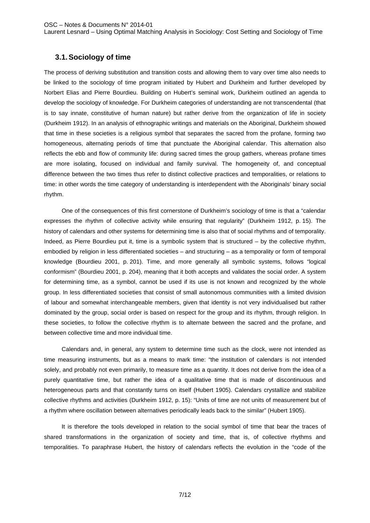Laurent Lesnard – Using Optimal Matching Analysis in Sociology: Cost Setting and Sociology of Time

# **3.1. Sociology of time**

The process of deriving substitution and transition costs and allowing them to vary over time also needs to be linked to the sociology of time program initiated by Hubert and Durkheim and further developed by Norbert Elias and Pierre Bourdieu. Building on Hubert's seminal work, Durkheim outlined an agenda to develop the sociology of knowledge. For Durkheim categories of understanding are not transcendental (that is to say innate, constitutive of human nature) but rather derive from the organization of life in society (Durkheim 1912). In an analysis of ethnographic writings and materials on the Aboriginal, Durkheim showed that time in these societies is a religious symbol that separates the sacred from the profane, forming two homogeneous, alternating periods of time that punctuate the Aboriginal calendar. This alternation also reflects the ebb and flow of community life: during sacred times the group gathers, whereas profane times are more isolating, focused on individual and family survival. The homogeneity of, and conceptual difference between the two times thus refer to distinct collective practices and temporalities, or relations to time: in other words the time category of understanding is interdependent with the Aboriginals' binary social rhythm.

One of the consequences of this first cornerstone of Durkheim's sociology of time is that a "calendar expresses the rhythm of collective activity while ensuring that regularity" (Durkheim 1912, p. 15). The history of calendars and other systems for determining time is also that of social rhythms and of temporality. Indeed, as Pierre Bourdieu put it, time is a symbolic system that is structured – by the collective rhythm, embodied by religion in less differentiated societies – and structuring – as a temporality or form of temporal knowledge (Bourdieu 2001, p. 201). Time, and more generally all symbolic systems, follows "logical conformism" (Bourdieu 2001, p. 204), meaning that it both accepts and validates the social order. A system for determining time, as a symbol, cannot be used if its use is not known and recognized by the whole group. In less differentiated societies that consist of small autonomous communities with a limited division of labour and somewhat interchangeable members, given that identity is not very individualised but rather dominated by the group, social order is based on respect for the group and its rhythm, through religion. In these societies, to follow the collective rhythm is to alternate between the sacred and the profane, and between collective time and more individual time.

Calendars and, in general, any system to determine time such as the clock, were not intended as time measuring instruments, but as a means to mark time: "the institution of calendars is not intended solely, and probably not even primarily, to measure time as a quantity. It does not derive from the idea of a purely quantitative time, but rather the idea of a qualitative time that is made of discontinuous and heterogeneous parts and that constantly turns on itself (Hubert 1905). Calendars crystallize and stabilize collective rhythms and activities (Durkheim 1912, p. 15): "Units of time are not units of measurement but of a rhythm where oscillation between alternatives periodically leads back to the similar" (Hubert 1905).

It is therefore the tools developed in relation to the social symbol of time that bear the traces of shared transformations in the organization of society and time, that is, of collective rhythms and temporalities. To paraphrase Hubert, the history of calendars reflects the evolution in the "code of the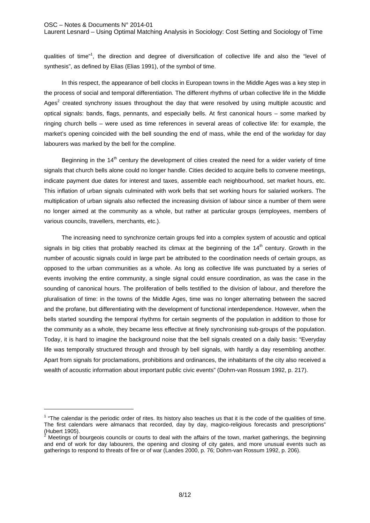-

Laurent Lesnard – Using Optimal Matching Analysis in Sociology: Cost Setting and Sociology of Time

qualities of time"<sup>1</sup>, the direction and degree of diversification of collective life and also the "level of synthesis", as defined by Elias (Elias 1991), of the symbol of time.

In this respect, the appearance of bell clocks in European towns in the Middle Ages was a key step in the process of social and temporal differentiation. The different rhythms of urban collective life in the Middle Ages<sup>2</sup> created synchrony issues throughout the day that were resolved by using multiple acoustic and optical signals: bands, flags, pennants, and especially bells. At first canonical hours – some marked by ringing church bells – were used as time references in several areas of collective life: for example, the market's opening coincided with the bell sounding the end of mass, while the end of the workday for day labourers was marked by the bell for the compline.

Beginning in the  $14<sup>th</sup>$  century the development of cities created the need for a wider variety of time signals that church bells alone could no longer handle. Cities decided to acquire bells to convene meetings, indicate payment due dates for interest and taxes, assemble each neighbourhood, set market hours, etc. This inflation of urban signals culminated with work bells that set working hours for salaried workers. The multiplication of urban signals also reflected the increasing division of labour since a number of them were no longer aimed at the community as a whole, but rather at particular groups (employees, members of various councils, travellers, merchants, etc.).

The increasing need to synchronize certain groups fed into a complex system of acoustic and optical signals in big cities that probably reached its climax at the beginning of the  $14<sup>th</sup>$  century. Growth in the number of acoustic signals could in large part be attributed to the coordination needs of certain groups, as opposed to the urban communities as a whole. As long as collective life was punctuated by a series of events involving the entire community, a single signal could ensure coordination, as was the case in the sounding of canonical hours. The proliferation of bells testified to the division of labour, and therefore the pluralisation of time: in the towns of the Middle Ages, time was no longer alternating between the sacred and the profane, but differentiating with the development of functional interdependence. However, when the bells started sounding the temporal rhythms for certain segments of the population in addition to those for the community as a whole, they became less effective at finely synchronising sub-groups of the population. Today, it is hard to imagine the background noise that the bell signals created on a daily basis: "Everyday life was temporally structured through and through by bell signals, with hardly a day resembling another. Apart from signals for proclamations, prohibitions and ordinances, the inhabitants of the city also received a wealth of acoustic information about important public civic events" (Dohrn-van Rossum 1992, p. 217).

 $1$  "The calendar is the periodic order of rites. Its history also teaches us that it is the code of the qualities of time. The first calendars were almanacs that recorded, day by day, magico-religious forecasts and prescriptions" (Hubert 1905).<br><sup>2</sup> Meetings of bourgeois councils or courts to deal with the affairs of the town, market gatherings, the beginning

and end of work for day labourers, the opening and closing of city gates, and more unusual events such as gatherings to respond to threats of fire or of war (Landes 2000, p. 76; Dohrn-van Rossum 1992, p. 206).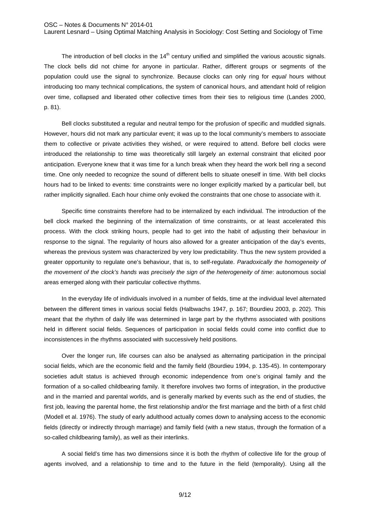Laurent Lesnard – Using Optimal Matching Analysis in Sociology: Cost Setting and Sociology of Time

The introduction of bell clocks in the  $14<sup>th</sup>$  century unified and simplified the various acoustic signals. The clock bells did not chime for anyone in particular. Rather, different groups or segments of the population could use the signal to synchronize. Because clocks can only ring for *equal* hours without introducing too many technical complications, the system of canonical hours, and attendant hold of religion over time, collapsed and liberated other collective times from their ties to religious time (Landes 2000, p. 81).

Bell clocks substituted a regular and neutral tempo for the profusion of specific and muddled signals. However, hours did not mark any particular event; it was up to the local community's members to associate them to collective or private activities they wished, or were required to attend. Before bell clocks were introduced the relationship to time was theoretically still largely an external constraint that elicited poor anticipation. Everyone knew that it was time for a lunch break when they heard the work bell ring a second time. One only needed to recognize the sound of different bells to situate oneself in time. With bell clocks hours had to be linked to events: time constraints were no longer explicitly marked by a particular bell, but rather implicitly signalled. Each hour chime only evoked the constraints that one chose to associate with it.

Specific time constraints therefore had to be internalized by each individual. The introduction of the bell clock marked the beginning of the internalization of time constraints, or at least accelerated this process. With the clock striking hours, people had to get into the habit of adjusting their behaviour in response to the signal. The regularity of hours also allowed for a greater anticipation of the day's events, whereas the previous system was characterized by very low predictability. Thus the new system provided a greater opportunity to regulate one's behaviour, that is, to self-regulate. *Paradoxically the homogeneity of the movement of the clock's hands was precisely the sign of the heterogeneity of time*: autonomous social areas emerged along with their particular collective rhythms.

In the everyday life of individuals involved in a number of fields, time at the individual level alternated between the different times in various social fields (Halbwachs 1947, p. 167; Bourdieu 2003, p. 202). This meant that the rhythm of daily life was determined in large part by the rhythms associated with positions held in different social fields. Sequences of participation in social fields could come into conflict due to inconsistences in the rhythms associated with successively held positions.

Over the longer run, life courses can also be analysed as alternating participation in the principal social fields, which are the economic field and the family field (Bourdieu 1994, p. 135-45). In contemporary societies adult status is achieved through economic independence from one's original family and the formation of a so-called childbearing family. It therefore involves two forms of integration, in the productive and in the married and parental worlds, and is generally marked by events such as the end of studies, the first job, leaving the parental home, the first relationship and/or the first marriage and the birth of a first child (Modell et al. 1976). The study of early adulthood actually comes down to analysing access to the economic fields (directly or indirectly through marriage) and family field (with a new status, through the formation of a so-called childbearing family), as well as their interlinks.

A social field's time has two dimensions since it is both the rhythm of collective life for the group of agents involved, and a relationship to time and to the future in the field (temporality). Using all the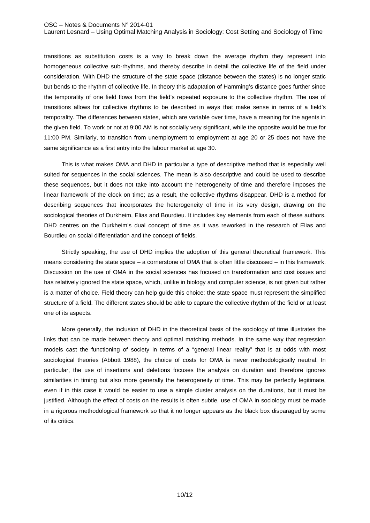Laurent Lesnard – Using Optimal Matching Analysis in Sociology: Cost Setting and Sociology of Time

transitions as substitution costs is a way to break down the average rhythm they represent into homogeneous collective sub-rhythms, and thereby describe in detail the collective life of the field under consideration. With DHD the structure of the state space (distance between the states) is no longer static but bends to the rhythm of collective life. In theory this adaptation of Hamming's distance goes further since the temporality of one field flows from the field's repeated exposure to the collective rhythm. The use of transitions allows for collective rhythms to be described in ways that make sense in terms of a field's temporality. The differences between states, which are variable over time, have a meaning for the agents in the given field. To work or not at 9:00 AM is not socially very significant, while the opposite would be true for 11:00 PM. Similarly, to transition from unemployment to employment at age 20 or 25 does not have the same significance as a first entry into the labour market at age 30.

This is what makes OMA and DHD in particular a type of descriptive method that is especially well suited for sequences in the social sciences. The mean is also descriptive and could be used to describe these sequences, but it does not take into account the heterogeneity of time and therefore imposes the linear framework of the clock on time; as a result, the collective rhythms disappear. DHD is a method for describing sequences that incorporates the heterogeneity of time in its very design, drawing on the sociological theories of Durkheim, Elias and Bourdieu. It includes key elements from each of these authors. DHD centres on the Durkheim's dual concept of time as it was reworked in the research of Elias and Bourdieu on social differentiation and the concept of fields.

Strictly speaking, the use of DHD implies the adoption of this general theoretical framework. This means considering the state space – a cornerstone of OMA that is often little discussed – in this framework. Discussion on the use of OMA in the social sciences has focused on transformation and cost issues and has relatively ignored the state space, which, unlike in biology and computer science, is not given but rather is a matter of choice. Field theory can help guide this choice: the state space must represent the simplified structure of a field. The different states should be able to capture the collective rhythm of the field or at least one of its aspects.

More generally, the inclusion of DHD in the theoretical basis of the sociology of time illustrates the links that can be made between theory and optimal matching methods. In the same way that regression models cast the functioning of society in terms of a "general linear reality" that is at odds with most sociological theories (Abbott 1988), the choice of costs for OMA is never methodologically neutral. In particular, the use of insertions and deletions focuses the analysis on duration and therefore ignores similarities in timing but also more generally the heterogeneity of time. This may be perfectly legitimate, even if in this case it would be easier to use a simple cluster analysis on the durations, but it must be justified. Although the effect of costs on the results is often subtle, use of OMA in sociology must be made in a rigorous methodological framework so that it no longer appears as the black box disparaged by some of its critics.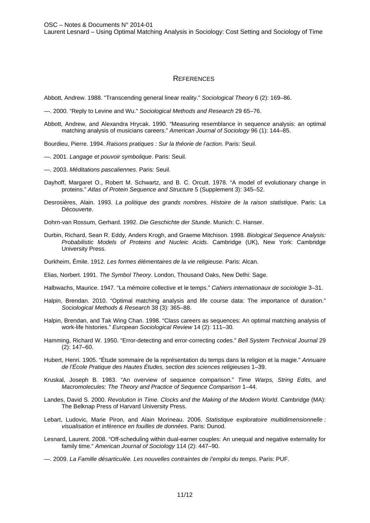# **REFERENCES**

Abbott, Andrew. 1988. "Transcending general linear reality." *Sociological Theory* 6 (2): 169–86.

- —. 2000. "Reply to Levine and Wu." *Sociological Methods and Research* 29 65–76.
- Abbott, Andrew, and Alexandra Hrycak. 1990. "Measuring resemblance in sequence analysis: an optimal matching analysis of musicians careers." *American Journal of Sociology* 96 (1): 144–85.

Bourdieu, Pierre. 1994. *Raisons pratiques : Sur la théorie de l'action*. Paris: Seuil.

—. 2001. *Langage et pouvoir symbolique*. Paris: Seuil.

—. 2003. *Méditations pascaliennes*. Paris: Seuil.

- Dayhoff, Margaret O., Robert M. Schwartz, and B. C. Orcutt. 1978. "A model of evolutionary change in proteins." *Atlas of Protein Sequence and Structure* 5 (Supplement 3): 345–52.
- Desrosières, Alain. 1993. *La politique des grands nombres. Histoire de la raison statistique*. Paris: La Découverte.

Dohrn-van Rossum, Gerhard. 1992. *Die Geschichte der Stunde*. Munich: C. Hanser.

Durbin, Richard, Sean R. Eddy, Anders Krogh, and Graeme Mitchison. 1998. *Biological Sequence Analysis: Probabilistic Models of Proteins and Nucleic Acids*. Cambridge (UK), New York: Cambridge University Press.

Durkheim, Émile. 1912. *Les formes élémentaires de la vie religieuse*. Paris: Alcan.

Elias, Norbert. 1991. *The Symbol Theory*. London, Thousand Oaks, New Delhi: Sage.

Halbwachs, Maurice. 1947. "La mémoire collective et le temps." *Cahiers internationaux de sociologie* 3–31.

- Halpin, Brendan. 2010. "Optimal matching analysis and life course data: The importance of duration." *Sociological Methods & Research* 38 (3): 365–88.
- Halpin, Brendan, and Tak Wing Chan. 1998. "Class careers as sequences: An optimal matching analysis of work-life histories." *European Sociological Review* 14 (2): 111–30.
- Hamming, Richard W. 1950. "Error-detecting and error-correcting codes." *Bell System Technical Journal* 29 (2): 147–60.
- Hubert, Henri. 1905. "Étude sommaire de la représentation du temps dans la religion et la magie." *Annuaire de l'École Pratique des Hautes Études, section des sciences religieuses* 1–39.
- Kruskal, Joseph B. 1983. "An overview of sequence comparison." *Time Warps, String Edits, and Macromolecules: The Theory and Practice of Sequence Comparison* 1–44.
- Landes, David S. 2000. *Revolution in Time. Clocks and the Making of the Modern World*. Cambridge (MA): The Belknap Press of Harvard University Press.
- Lebart, Ludovic, Marie Piron, and Alain Morineau. 2006. *Statistique exploratoire multidimensionnelle : visualisation et inférence en fouilles de données*. Paris: Dunod.
- Lesnard, Laurent. 2008. "Off-scheduling within dual-earner couples: An unequal and negative externality for family time." *American Journal of Sociology* 114 (2): 447–90.
- —. 2009. *La Famille désarticulée. Les nouvelles contraintes de l'emploi du temps*. Paris: PUF.